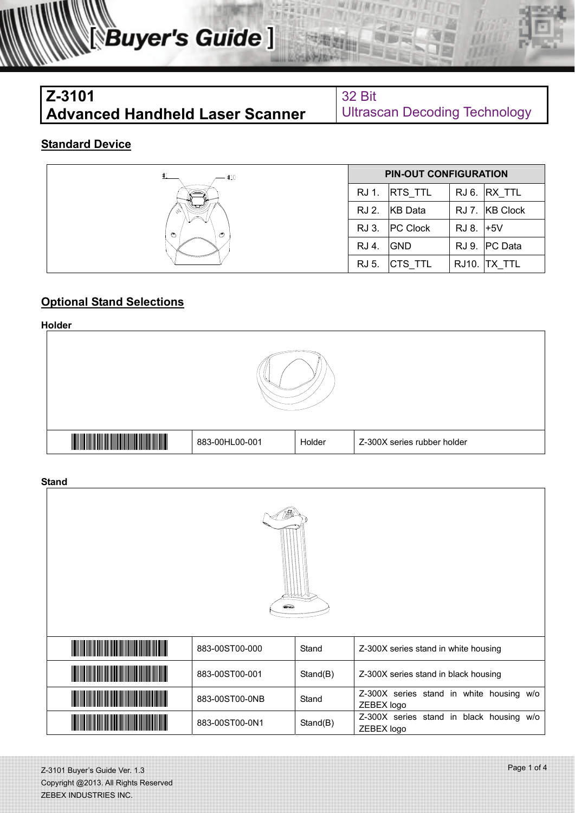| $Z - 3101$                             | <b>32 Bit</b>          |
|----------------------------------------|------------------------|
| <b>Advanced Handheld Laser Scanner</b> | <b>Ultrascan Decod</b> |

**ling Technology** 

### **Standard Device**

| #10<br>s,<br>O<br>ಲ | <b>PIN-OUT CONFIGURATION</b> |                 |           |                |
|---------------------|------------------------------|-----------------|-----------|----------------|
|                     | RJ 1.                        | RTS_TTL         |           | RJ 6. RX_TTL   |
|                     | RJ 2.                        | KB Data         |           | RJ 7. KB Clock |
|                     | RJ 3.                        | <b>PC Clock</b> | RJ 8. +5V |                |
|                     | RJ 4.                        | <b>GND</b>      |           | RJ 9. PC Data  |
|                     | RJ 5.                        | CTS_TTL         | RJ10.     | TX TTL         |

### **Optional Stand Selections**

**Holder** 



**Stand** 

| <u> III Martin Martin Martin Martin Martin Martin Martin Martin Martin Martin Martin Martin Martin Martin Martin </u> | 883-00ST00-000 | Stand    | Z-300X series stand in white housing                   |  |  |  |
|-----------------------------------------------------------------------------------------------------------------------|----------------|----------|--------------------------------------------------------|--|--|--|
| <u> Herbert Herbert (* 1958)</u>                                                                                      | 883-00ST00-001 | Stand(B) | Z-300X series stand in black housing                   |  |  |  |
| <u> Herbert Herbert i Startin (d. 1989)</u>                                                                           | 883-00ST00-0NB | Stand    | Z-300X series stand in white housing w/o<br>ZEBEX logo |  |  |  |
| <u> III martin Martin Martin Martin II</u>                                                                            | 883-00ST00-0N1 | Stand(B) | Z-300X series stand in black housing w/o<br>ZEBEX logo |  |  |  |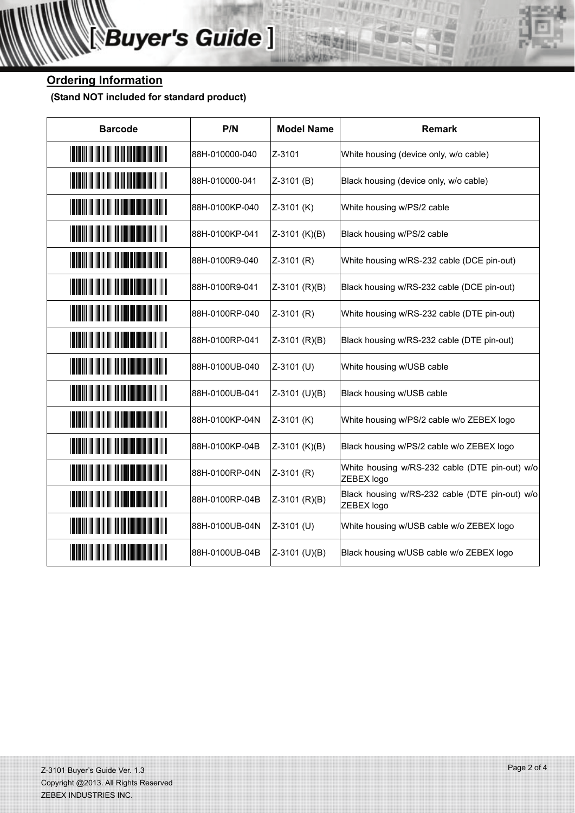## **Ordering Information**

 **(Stand NOT included for standard product)** 

| <b>Barcode</b>                                                                                                           | P/N            | <b>Model Name</b> | <b>Remark</b>                                                |
|--------------------------------------------------------------------------------------------------------------------------|----------------|-------------------|--------------------------------------------------------------|
| <u> Martin Harrison (Martin Harrison)</u>                                                                                | 88H-010000-040 | Z-3101            | White housing (device only, w/o cable)                       |
| <u> Hilliam Hilliam Hilliam Hilliam Hilliam Hilliam Hilliam Hilliam Hilliam Hilliam Hilliam Hilliam Hilliam Hilli</u>    | 88H-010000-041 | $Z-3101(B)$       | Black housing (device only, w/o cable)                       |
| <u> Maria Maria Maria Maria Maria Maria Maria Maria Maria Maria Maria Maria Maria Maria Maria Maria Maria Maria M</u>    | 88H-0100KP-040 | Z-3101 (K)        | White housing w/PS/2 cable                                   |
| <u> Harris Harris Harris Harris Harris Harris Harris Harris Harris Harris Harris Harris Harris Harris Harris Har</u>     | 88H-0100KP-041 | $Z-3101$ (K)(B)   | Black housing w/PS/2 cable                                   |
| <u> Hillian Maria Maria Maria Maria Maria Maria Maria Maria Maria Maria Maria Maria Maria Maria Maria Maria Maria </u>   | 88H-0100R9-040 | $Z-3101$ (R)      | White housing w/RS-232 cable (DCE pin-out)                   |
| <u> Hilliam Hallmann (</u>                                                                                               | 88H-0100R9-041 | $Z-3101$ (R)(B)   | Black housing w/RS-232 cable (DCE pin-out)                   |
| <u> Hilliam Halling (Hilliam Halling (Hilliam Halling (Hilliam Halling (Hilliam Halling (Hilliam Halling (Hilliam Ha</u> | 88H-0100RP-040 | $Z-3101$ (R)      | White housing w/RS-232 cable (DTE pin-out)                   |
| <u> Maria Maria Maria Maria Maria Maria Maria Maria Maria Maria Maria Maria Maria Maria Maria Maria Maria Maria M</u>    | 88H-0100RP-041 | $Z-3101$ (R)(B)   | Black housing w/RS-232 cable (DTE pin-out)                   |
| <u> Hillian Maria Maria Maria Maria Maria Maria Maria Maria Maria Maria Maria Maria Maria Maria Maria Maria Maria </u>   | 88H-0100UB-040 | Z-3101 (U)        | White housing w/USB cable                                    |
| <u> Maria Maria Maria Maria Maria Maria Maria Maria Maria Maria Maria Maria Maria Maria Maria Maria Maria Maria M</u>    | 88H-0100UB-041 | Z-3101 (U)(B)     | Black housing w/USB cable                                    |
| <u> Maria Maria Maria Maria Maria Maria Maria Maria Maria Maria Maria Maria Maria Maria Maria Maria Maria Maria Ma</u>   | 88H-0100KP-04N | $Z-3101$ (K)      | White housing w/PS/2 cable w/o ZEBEX logo                    |
| <u> Maria Maria Maria Maria Maria Maria Maria Maria Maria Maria Maria Maria Maria Maria Maria Maria Maria Maria M</u>    | 88H-0100KP-04B | $Z-3101$ (K)(B)   | Black housing w/PS/2 cable w/o ZEBEX logo                    |
| <u> Harris Harris Harris Harris Harris Harris Harris Harris Harris Harris Harris Harris Harris Harris Harris Har</u>     | 88H-0100RP-04N | $Z-3101$ (R)      | White housing w/RS-232 cable (DTE pin-out) w/o<br>ZEBEX logo |
| <u> Hillian Maria Maria Maria Maria Maria Maria Maria Maria Maria Maria Maria Maria Maria Maria Maria Maria Maria </u>   | 88H-0100RP-04B | $Z-3101$ (R)(B)   | Black housing w/RS-232 cable (DTE pin-out) w/o<br>ZEBEX logo |
| <u> Maria Maria Maria Maria Maria Maria Maria Maria Maria Maria Maria Maria Maria Maria Maria Maria Maria Maria M</u>    | 88H-0100UB-04N | Z-3101 (U)        | White housing w/USB cable w/o ZEBEX logo                     |
| <u> Harris Harris Harris Harris Harris Harris Harris Harris Harris Harris Harris Harris Harris Harris Harris Har</u>     | 88H-0100UB-04B | Z-3101 (U)(B)     | Black housing w/USB cable w/o ZEBEX logo                     |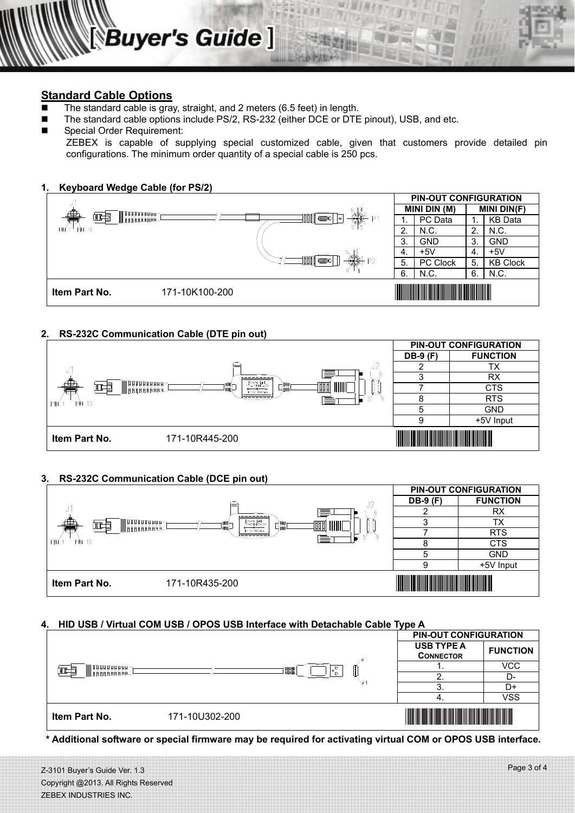#### **Standard Cable Options**

- The standard cable is gray, straight, and 2 meters (6.5 feet) in length.
- The standard cable options include PS/2, RS-232 (either DCE or DTE pinout), USB, and etc.
- Special Order Requirement:

ZEBEX is capable of supplying special customized cable, given that customers provide detailed pin configurations. The minimum order quantity of a special cable is 250 pcs.



#### **2. RS-232C Communication Cable (DTE pin out)**



#### **3. RS-232C Communication Cable (DCE pin out)**



#### **4. HID USB / Virtual COM USB / OPOS USB Interface with Detachable Cable Type A**



**\* Additional software or special firmware may be required for activating virtual COM or OPOS USB interface.** 

Z-3101 Buyer's Guide Ver. 1.3 Copyright @2013. All Rights Reserved ZEBEX INDUSTRIES INC.